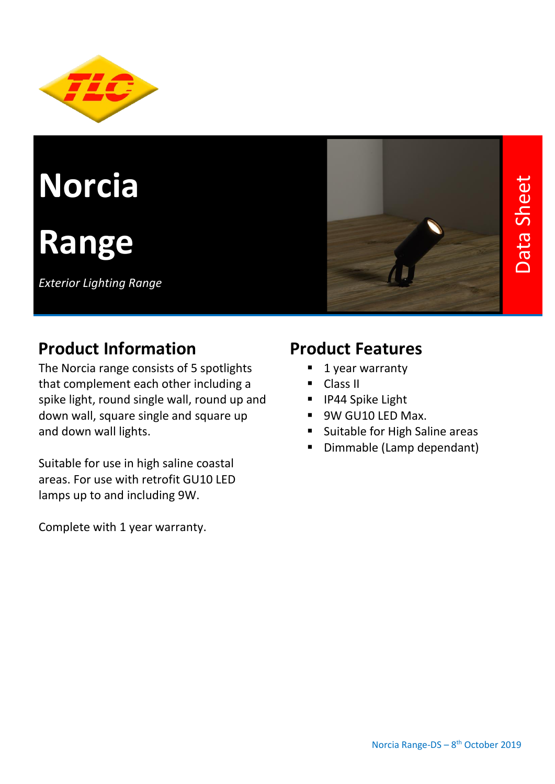

# **Norcia**

## **Range**

*Exterior Lighting Range* 



#### **Product Information**

The Norcia range consists of 5 spotlights that complement each other including a spike light, round single wall, round up and down wall, square single and square up and down wall lights.

Suitable for use in high saline coastal areas. For use with retrofit GU10 LED lamps up to and including 9W.

Complete with 1 year warranty.

#### **Product Features**

- 1 year warranty
- Class II
- IP44 Spike Light
- 9W GU10 LED Max.
- Suitable for High Saline areas
- Dimmable (Lamp dependant)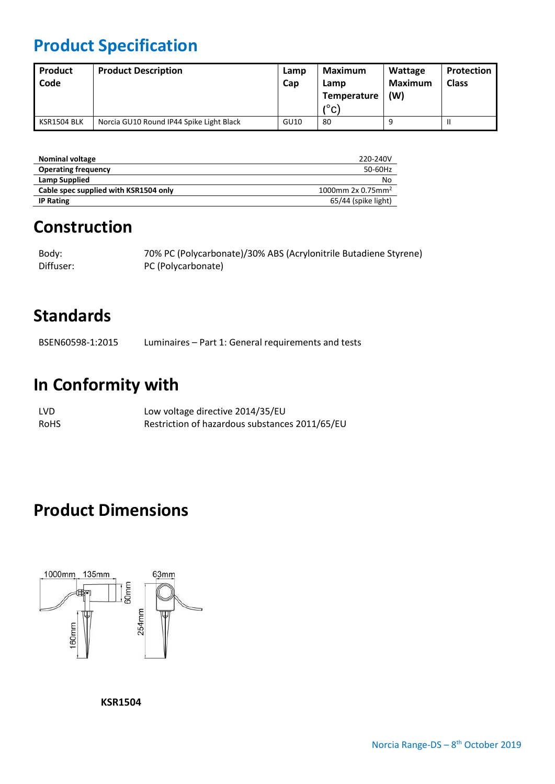### **Product Specification**

| Product<br>Code | <b>Product Description</b>               | Lamp<br>Cap | Maximum<br>Lamp<br>Temperature<br>$(^\circ$ C) | Wattage<br>Maximum<br>$(\mathsf{W})$ | Protection<br><b>Class</b> |
|-----------------|------------------------------------------|-------------|------------------------------------------------|--------------------------------------|----------------------------|
| KSR1504 BLK     | Norcia GU10 Round IP44 Spike Light Black | GU10        | 80                                             |                                      |                            |

| <b>Nominal voltage</b>                | 220-240V                      |
|---------------------------------------|-------------------------------|
| <b>Operating frequency</b>            | 50-60Hz                       |
| Lamp Supplied                         | No                            |
| Cable spec supplied with KSR1504 only | 1000mm 2x 0.75mm <sup>2</sup> |
| <b>IP Rating</b>                      | 65/44 (spike light)           |

#### **Construction**

| Body:     | 70% PC (Polycarbonate)/30% ABS (Acrylonitrile Butadiene Styrene) |
|-----------|------------------------------------------------------------------|
| Diffuser: | PC (Polycarbonate)                                               |

#### **Standards**

BSEN60598-1:2015 Luminaires – Part 1: General requirements and tests

#### **In Conformity with**

| LVD. | Low voltage directive 2014/35/EU               |
|------|------------------------------------------------|
| RoHS | Restriction of hazardous substances 2011/65/EU |

#### **Product Dimensions**



**KSR1504**